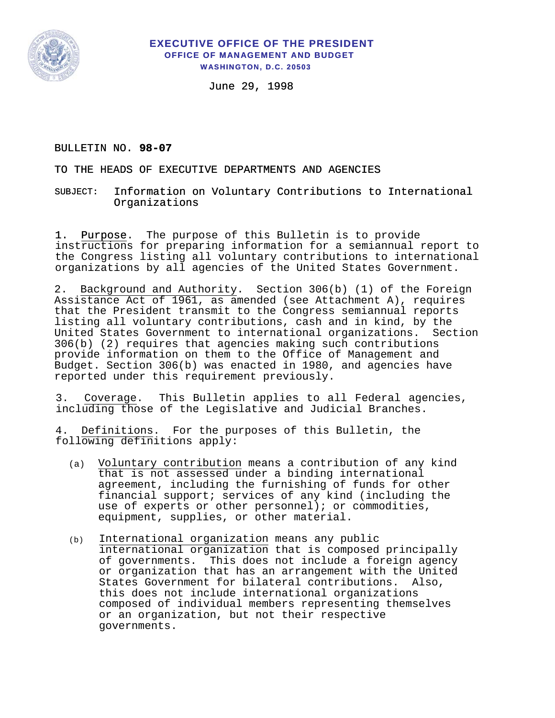

## **EXECUTIVE OFFICE OF THE PRESIDENT OFFICE OF MANAGEMENT AND BUDGET WASHINGTON, D.C. 20503**

June 29, 1998

## BULLETIN NO. **98-07**

TO THE HEADS OF EXECUTIVE DEPARTMENTS AND AGENCIES

Information on Voluntary Contributions to International Organizations SUBJECT:

1. Purpose. The purpose of this Bulletin is to provide instructions for preparing information for a semiannual report to the Congress listing all voluntary contributions to international organizations by all agencies of the United States Government.

2. Background and Authority. Section 306(b) (1) of the Foreign Assistance Act of 1961, as amended (see Attachment A), requires that the President transmit to the Congress semiannual reports listing all voluntary contributions, cash and in kind, by the United States Government to international organizations. Section 306(b) (2) requires that agencies making such contributions provide information on them to the Office of Management and Budget. Section 306(b) was enacted in 1980, and agencies have reported under this requirement previously.

3. Coverage. This Bulletin applies to all Federal agencies, including those of the Legislative and Judicial Branches.

4. Definitions. For the purposes of this Bulletin, the following definitions apply:

- (a) Voluntary contribution means a contribution of any kind that is not assessed under a binding international agreement, including the furnishing of funds for other financial support; services of any kind (including the use of experts or other personnel); or commodities, equipment, supplies, or other material.
- (b) International organization means any public international organization that is composed principally of governments. This does not include a foreign agency or organization that has an arrangement with the United States Government for bilateral contributions. Also, this does not include international organizations composed of individual members representing themselves or an organization, but not their respective governments.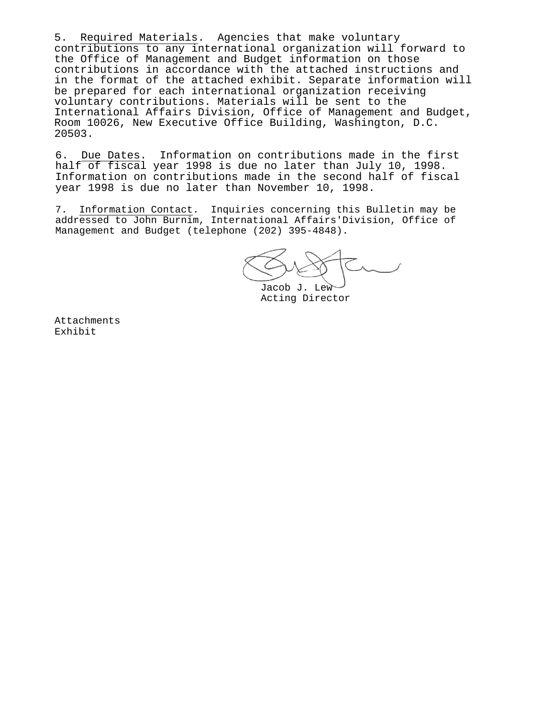5. Required Materials. Agencies that make voluntary contributions to any international organization will forward to the Office of Management and Budget information on those contributions in accordance with the attached instructions and in the format of the attached exhibit. Separate information will be prepared for each international organization receiving voluntary contributions. Materials will be sent to the International Affairs Division, Office of Management and Budget, Room 10026, New Executive Office Building, Washington, D.C. 20503.

6. Due Dates. Information on contributions made in the first half of fiscal year 1998 is due no later than July 10, 1998. Information on contributions made in the second half of fiscal year 1998 is due no later than November 10, 1998.

7. Information Contact. Inquiries concerning this Bulletin may be addressed to John Burnim, International Affairs'Division, Office of Management and Budget (telephone (202) 395-4848).

Jacob J. Lew Acting Director

Attachments Exhibit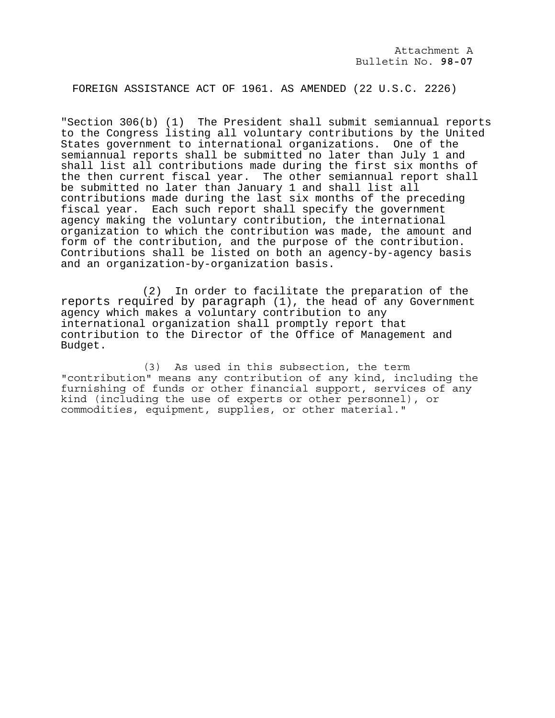FOREIGN ASSISTANCE ACT OF 1961. AS AMENDED (22 U.S.C. 2226)

"Section 306(b) (1) The President shall submit semiannual reports to the Congress listing all voluntary contributions by the United States government to international organizations. One of the semiannual reports shall be submitted no later than July 1 and shall list all contributions made during the first six months of the then current fiscal year. The other semiannual report shall be submitted no later than January 1 and shall list all contributions made during the last six months of the preceding fiscal year. Each such report shall specify the government agency making the voluntary contribution, the international organization to which the contribution was made, the amount and form of the contribution, and the purpose of the contribution. Contributions shall be listed on both an agency-by-agency basis and an organization-by-organization basis.

(2) In order to facilitate the preparation of the reports required by paragraph (1), the head of any Government agency which makes a voluntary contribution to any international organization shall promptly report that contribution to the Director of the Office of Management and Budget.

(3) As used in this subsection, the term "contribution" means any contribution of any kind, including the furnishing of funds or other financial support, services of any kind (including the use of experts or other personnel), or commodities, equipment, supplies, or other material."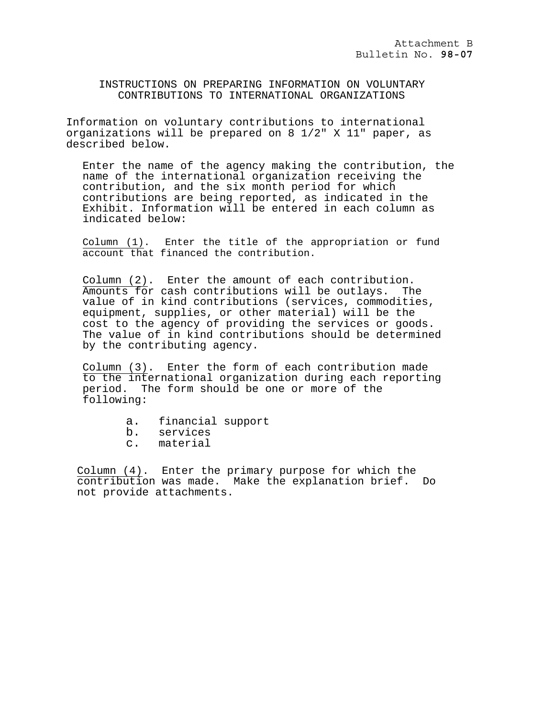INSTRUCTIONS ON PREPARING INFORMATION ON VOLUNTARY CONTRIBUTIONS TO INTERNATIONAL ORGANIZATIONS

Information on voluntary contributions to international organizations will be prepared on 8 1/2" X 11" paper, as described below.

Enter the name of the agency making the contribution, the name of the international organization receiving the contribution, and the six month period for which contributions are being reported, as indicated in the Exhibit. Information will be entered in each column as indicated below:

Column (1). Enter the title of the appropriation or fund account that financed the contribution.

Column (2). Enter the amount of each contribution. Amounts for cash contributions will be outlays. The value of in kind contributions (services, commodities, equipment, supplies, or other material) will be the cost to the agency of providing the services or goods. The value of in kind contributions should be determined by the contributing agency.

Column (3). Enter the form of each contribution made to the international organization during each reporting period. The form should be one or more of the following:

- a. financial support
- b. services
- c. material

Column (4). Enter the primary purpose for which the contribution was made. Make the explanation brief. Do not provide attachments.